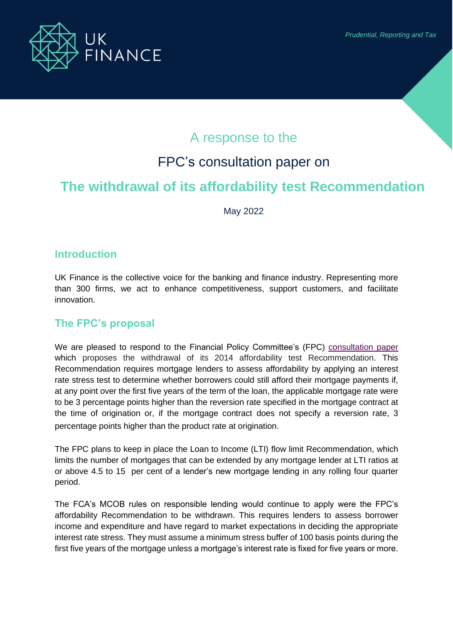

# A response to the

# FPC's consultation paper on

# **The withdrawal of its affordability test Recommendation**

May 2022

## **Introduction**

UK Finance is the collective voice for the banking and finance industry. Representing more than 300 firms, we act to enhance competitiveness, support customers, and facilitate innovation.

## **The FPC's proposal**

We are pleased to respond to the Financial Policy Committee's (FPC) [consultation paper](https://www.bankofengland.co.uk/Paper/2022/withdrawal-of-the-fpcs-affordability-test-recommendation) which proposes the withdrawal of its 2014 affordability test Recommendation. This Recommendation requires mortgage lenders to assess affordability by applying an interest rate stress test to determine whether borrowers could still afford their mortgage payments if, at any point over the first five years of the term of the loan, the applicable mortgage rate were to be 3 percentage points higher than the reversion rate specified in the mortgage contract at the time of origination or, if the mortgage contract does not specify a reversion rate, 3 percentage points higher than the product rate at origination.

The FPC plans to keep in place the Loan to Income (LTI) flow limit Recommendation, which limits the number of mortgages that can be extended by any mortgage lender at LTI ratios at or above 4.5 to 15 per cent of a lender's new mortgage lending in any rolling four quarter period.

The FCA's MCOB rules on responsible lending would continue to apply were the FPC's affordability Recommendation to be withdrawn. This requires lenders to assess borrower income and expenditure and have regard to market expectations in deciding the appropriate interest rate stress. They must assume a minimum stress buffer of 100 basis points during the first five years of the mortgage unless a mortgage's interest rate is fixed for five years or more.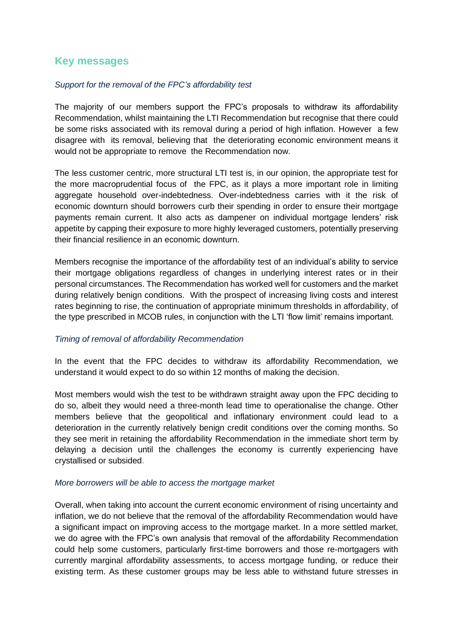## **Key messages**

#### *Support for the removal of the FPC's affordability test*

The majority of our members support the FPC's proposals to withdraw its affordability Recommendation, whilst maintaining the LTI Recommendation but recognise that there could be some risks associated with its removal during a period of high inflation. However a few disagree with its removal, believing that the deteriorating economic environment means it would not be appropriate to remove the Recommendation now.

The less customer centric, more structural LTI test is, in our opinion, the appropriate test for the more macroprudential focus of the FPC, as it plays a more important role in limiting aggregate household over-indebtedness. Over-indebtedness carries with it the risk of economic downturn should borrowers curb their spending in order to ensure their mortgage payments remain current. It also acts as dampener on individual mortgage lenders' risk appetite by capping their exposure to more highly leveraged customers, potentially preserving their financial resilience in an economic downturn.

Members recognise the importance of the affordability test of an individual's ability to service their mortgage obligations regardless of changes in underlying interest rates or in their personal circumstances. The Recommendation has worked well for customers and the market during relatively benign conditions. With the prospect of increasing living costs and interest rates beginning to rise, the continuation of appropriate minimum thresholds in affordability, of the type prescribed in MCOB rules, in conjunction with the LTI 'flow limit' remains important.

#### *Timing of removal of affordability Recommendation*

In the event that the FPC decides to withdraw its affordability Recommendation, we understand it would expect to do so within 12 months of making the decision.

Most members would wish the test to be withdrawn straight away upon the FPC deciding to do so, albeit they would need a three-month lead time to operationalise the change. Other members believe that the geopolitical and inflationary environment could lead to a deterioration in the currently relatively benign credit conditions over the coming months. So they see merit in retaining the affordability Recommendation in the immediate short term by delaying a decision until the challenges the economy is currently experiencing have crystallised or subsided.

#### *More borrowers will be able to access the mortgage market*

Overall, when taking into account the current economic environment of rising uncertainty and inflation, we do not believe that the removal of the affordability Recommendation would have a significant impact on improving access to the mortgage market. In a more settled market, we do agree with the FPC's own analysis that removal of the affordability Recommendation could help some customers, particularly first-time borrowers and those re-mortgagers with currently marginal affordability assessments, to access mortgage funding, or reduce their existing term. As these customer groups may be less able to withstand future stresses in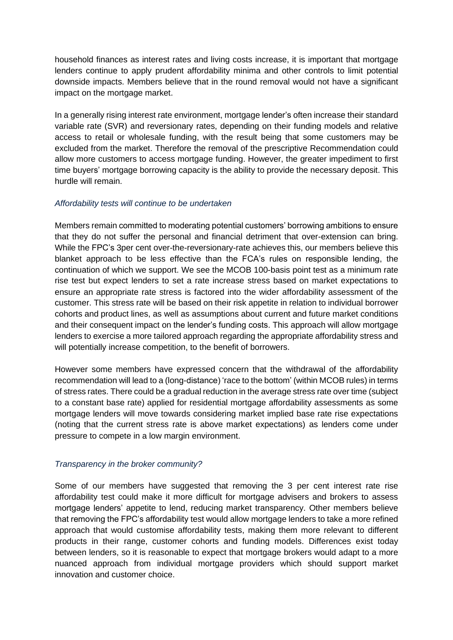household finances as interest rates and living costs increase, it is important that mortgage lenders continue to apply prudent affordability minima and other controls to limit potential downside impacts. Members believe that in the round removal would not have a significant impact on the mortgage market.

In a generally rising interest rate environment, mortgage lender's often increase their standard variable rate (SVR) and reversionary rates, depending on their funding models and relative access to retail or wholesale funding, with the result being that some customers may be excluded from the market. Therefore the removal of the prescriptive Recommendation could allow more customers to access mortgage funding. However, the greater impediment to first time buyers' mortgage borrowing capacity is the ability to provide the necessary deposit. This hurdle will remain.

### *Affordability tests will continue to be undertaken*

Members remain committed to moderating potential customers' borrowing ambitions to ensure that they do not suffer the personal and financial detriment that over-extension can bring. While the FPC's 3per cent over-the-reversionary-rate achieves this, our members believe this blanket approach to be less effective than the FCA's rules on responsible lending, the continuation of which we support. We see the MCOB 100-basis point test as a minimum rate rise test but expect lenders to set a rate increase stress based on market expectations to ensure an appropriate rate stress is factored into the wider affordability assessment of the customer. This stress rate will be based on their risk appetite in relation to individual borrower cohorts and product lines, as well as assumptions about current and future market conditions and their consequent impact on the lender's funding costs. This approach will allow mortgage lenders to exercise a more tailored approach regarding the appropriate affordability stress and will potentially increase competition, to the benefit of borrowers.

However some members have expressed concern that the withdrawal of the affordability recommendation will lead to a (long-distance) 'race to the bottom' (within MCOB rules) in terms of stress rates. There could be a gradual reduction in the average stress rate over time (subject to a constant base rate) applied for residential mortgage affordability assessments as some mortgage lenders will move towards considering market implied base rate rise expectations (noting that the current stress rate is above market expectations) as lenders come under pressure to compete in a low margin environment.

### *Transparency in the broker community?*

Some of our members have suggested that removing the 3 per cent interest rate rise affordability test could make it more difficult for mortgage advisers and brokers to assess mortgage lenders' appetite to lend, reducing market transparency. Other members believe that removing the FPC's affordability test would allow mortgage lenders to take a more refined approach that would customise affordability tests, making them more relevant to different products in their range, customer cohorts and funding models. Differences exist today between lenders, so it is reasonable to expect that mortgage brokers would adapt to a more nuanced approach from individual mortgage providers which should support market innovation and customer choice.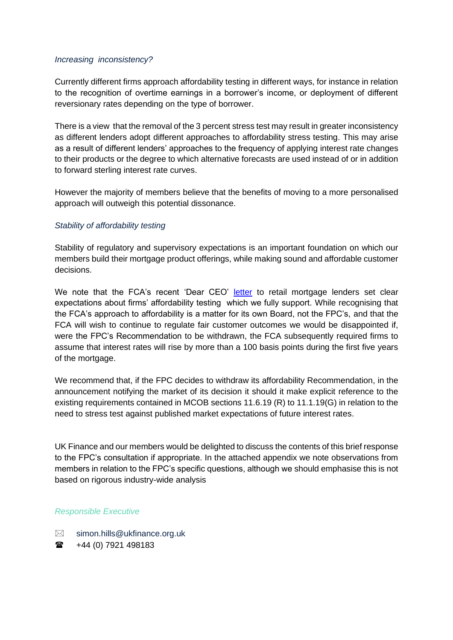#### *Increasing inconsistency?*

Currently different firms approach affordability testing in different ways, for instance in relation to the recognition of overtime earnings in a borrower's income, or deployment of different reversionary rates depending on the type of borrower.

There is a view that the removal of the 3 percent stress test may result in greater inconsistency as different lenders adopt different approaches to affordability stress testing. This may arise as a result of different lenders' approaches to the frequency of applying interest rate changes to their products or the degree to which alternative forecasts are used instead of or in addition to forward sterling interest rate curves.

However the majority of members believe that the benefits of moving to a more personalised approach will outweigh this potential dissonance.

### *Stability of affordability testing*

Stability of regulatory and supervisory expectations is an important foundation on which our members build their mortgage product offerings, while making sound and affordable customer decisions.

We note that the FCA's recent 'Dear CEO' [letter](https://www.fca.org.uk/publication/correspondence/portfolio-letter-fca-strategy-retail-mortgage-lenders-portfolio.pdf) to retail mortgage lenders set clear expectations about firms' affordability testing which we fully support. While recognising that the FCA's approach to affordability is a matter for its own Board, not the FPC's, and that the FCA will wish to continue to regulate fair customer outcomes we would be disappointed if, were the FPC's Recommendation to be withdrawn, the FCA subsequently required firms to assume that interest rates will rise by more than a 100 basis points during the first five years of the mortgage.

We recommend that, if the FPC decides to withdraw its affordability Recommendation, in the announcement notifying the market of its decision it should it make explicit reference to the existing requirements contained in MCOB sections 11.6.19 (R) to 11.1.19(G) in relation to the need to stress test against published market expectations of future interest rates.

UK Finance and our members would be delighted to discuss the contents of this brief response to the FPC's consultation if appropriate. In the attached appendix we note observations from members in relation to the FPC's specific questions, although we should emphasise this is not based on rigorous industry-wide analysis

#### *Responsible Executive*

- $\boxtimes$  simon.hills@ukfinance.org.uk
- $\bullet$  +44 (0) [7921 498183](tel:+44%207590%20711199)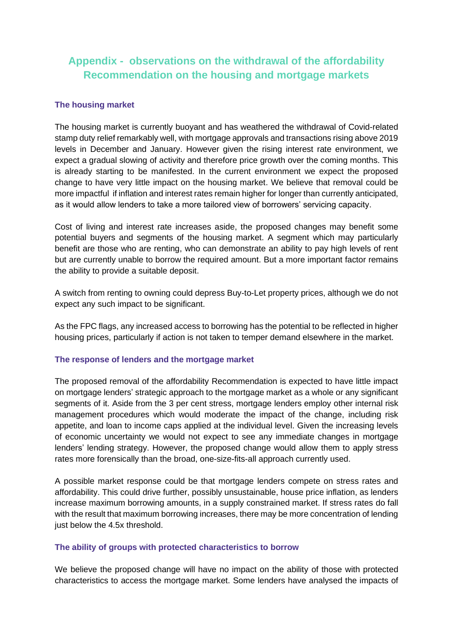## **Appendix - observations on the withdrawal of the affordability Recommendation on the housing and mortgage markets**

### **The housing market**

The housing market is currently buoyant and has weathered the withdrawal of Covid-related stamp duty relief remarkably well, with mortgage approvals and transactions rising above 2019 levels in December and January. However given the rising interest rate environment, we expect a gradual slowing of activity and therefore price growth over the coming months. This is already starting to be manifested. In the current environment we expect the proposed change to have very little impact on the housing market. We believe that removal could be more impactful if inflation and interest rates remain higher for longer than currently anticipated, as it would allow lenders to take a more tailored view of borrowers' servicing capacity.

Cost of living and interest rate increases aside, the proposed changes may benefit some potential buyers and segments of the housing market. A segment which may particularly benefit are those who are renting, who can demonstrate an ability to pay high levels of rent but are currently unable to borrow the required amount. But a more important factor remains the ability to provide a suitable deposit.

A switch from renting to owning could depress Buy-to-Let property prices, although we do not expect any such impact to be significant.

As the FPC flags, any increased access to borrowing has the potential to be reflected in higher housing prices, particularly if action is not taken to temper demand elsewhere in the market.

### **The response of lenders and the mortgage market**

The proposed removal of the affordability Recommendation is expected to have little impact on mortgage lenders' strategic approach to the mortgage market as a whole or any significant segments of it. Aside from the 3 per cent stress, mortgage lenders employ other internal risk management procedures which would moderate the impact of the change, including risk appetite, and loan to income caps applied at the individual level. Given the increasing levels of economic uncertainty we would not expect to see any immediate changes in mortgage lenders' lending strategy. However, the proposed change would allow them to apply stress rates more forensically than the broad, one-size-fits-all approach currently used.

A possible market response could be that mortgage lenders compete on stress rates and affordability. This could drive further, possibly unsustainable, house price inflation, as lenders increase maximum borrowing amounts, in a supply constrained market. If stress rates do fall with the result that maximum borrowing increases, there may be more concentration of lending just below the 4.5x threshold.

### **The ability of groups with protected characteristics to borrow**

We believe the proposed change will have no impact on the ability of those with protected characteristics to access the mortgage market. Some lenders have analysed the impacts of